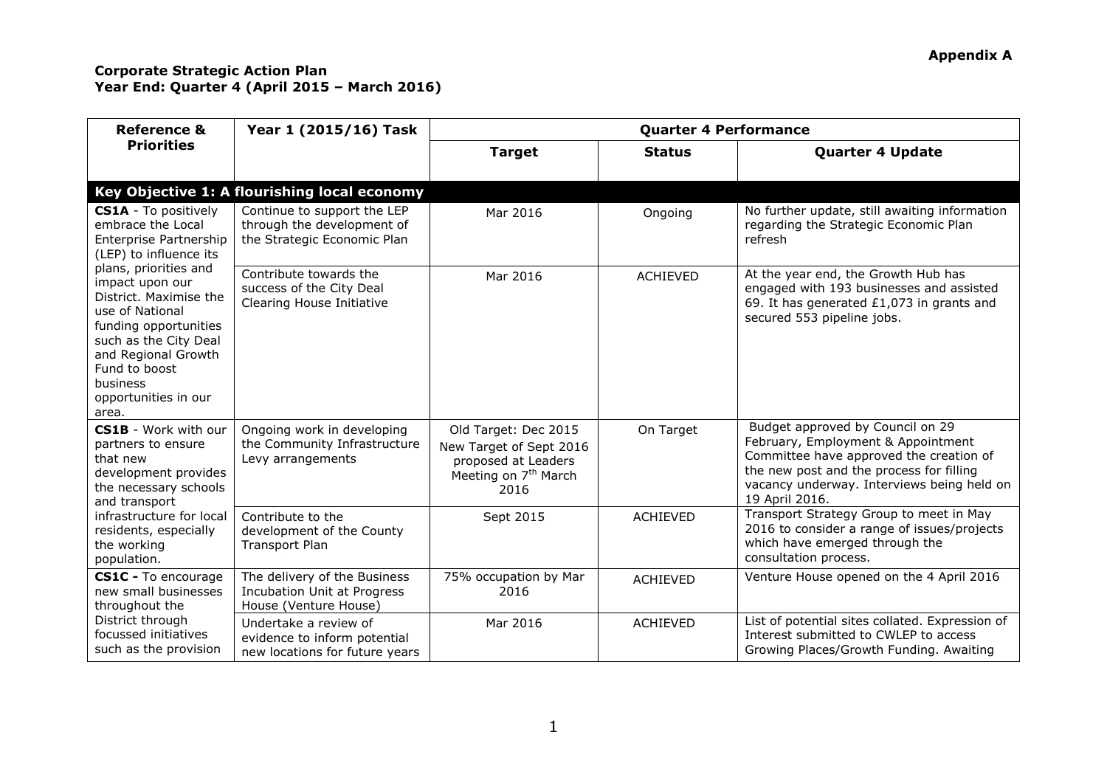| <b>Reference &amp;</b>                                                                                                                                                                                                                                                                                                                                   | Year 1 (2015/16) Task                                                                       | <b>Quarter 4 Performance</b>                                                                                       |                 |                                                                                                                                                                                                                               |  |
|----------------------------------------------------------------------------------------------------------------------------------------------------------------------------------------------------------------------------------------------------------------------------------------------------------------------------------------------------------|---------------------------------------------------------------------------------------------|--------------------------------------------------------------------------------------------------------------------|-----------------|-------------------------------------------------------------------------------------------------------------------------------------------------------------------------------------------------------------------------------|--|
| <b>Priorities</b>                                                                                                                                                                                                                                                                                                                                        |                                                                                             | <b>Target</b>                                                                                                      | <b>Status</b>   | <b>Quarter 4 Update</b>                                                                                                                                                                                                       |  |
|                                                                                                                                                                                                                                                                                                                                                          | Key Objective 1: A flourishing local economy                                                |                                                                                                                    |                 |                                                                                                                                                                                                                               |  |
| <b>CS1A</b> - To positively<br>embrace the Local<br>Enterprise Partnership<br>(LEP) to influence its<br>plans, priorities and<br>impact upon our<br>District. Maximise the<br>use of National<br>funding opportunities<br>such as the City Deal<br>and Regional Growth<br>Fund to boost<br>business<br>opportunities in our<br>area.                     | Continue to support the LEP<br>through the development of<br>the Strategic Economic Plan    | Mar 2016                                                                                                           | Ongoing         | No further update, still awaiting information<br>regarding the Strategic Economic Plan<br>refresh                                                                                                                             |  |
|                                                                                                                                                                                                                                                                                                                                                          | Contribute towards the<br>success of the City Deal<br>Clearing House Initiative             | Mar 2016                                                                                                           | <b>ACHIEVED</b> | At the year end, the Growth Hub has<br>engaged with 193 businesses and assisted<br>69. It has generated £1,073 in grants and<br>secured 553 pipeline jobs.                                                                    |  |
| <b>CS1B</b> - Work with our<br>partners to ensure<br>that new<br>development provides<br>the necessary schools<br>and transport<br>infrastructure for local<br>residents, especially<br>the working<br>population.<br>CS1C - To encourage<br>new small businesses<br>throughout the<br>District through<br>focussed initiatives<br>such as the provision | Ongoing work in developing<br>the Community Infrastructure<br>Levy arrangements             | Old Target: Dec 2015<br>New Target of Sept 2016<br>proposed at Leaders<br>Meeting on 7 <sup>th</sup> March<br>2016 | On Target       | Budget approved by Council on 29<br>February, Employment & Appointment<br>Committee have approved the creation of<br>the new post and the process for filling<br>vacancy underway. Interviews being held on<br>19 April 2016. |  |
|                                                                                                                                                                                                                                                                                                                                                          | Contribute to the<br>development of the County<br><b>Transport Plan</b>                     | Sept 2015                                                                                                          | <b>ACHIEVED</b> | Transport Strategy Group to meet in May<br>2016 to consider a range of issues/projects<br>which have emerged through the<br>consultation process.                                                                             |  |
|                                                                                                                                                                                                                                                                                                                                                          | The delivery of the Business<br><b>Incubation Unit at Progress</b><br>House (Venture House) | 75% occupation by Mar<br>2016                                                                                      | <b>ACHIEVED</b> | Venture House opened on the 4 April 2016                                                                                                                                                                                      |  |
|                                                                                                                                                                                                                                                                                                                                                          | Undertake a review of<br>evidence to inform potential<br>new locations for future years     | Mar 2016                                                                                                           | <b>ACHIEVED</b> | List of potential sites collated. Expression of<br>Interest submitted to CWLEP to access<br>Growing Places/Growth Funding. Awaiting                                                                                           |  |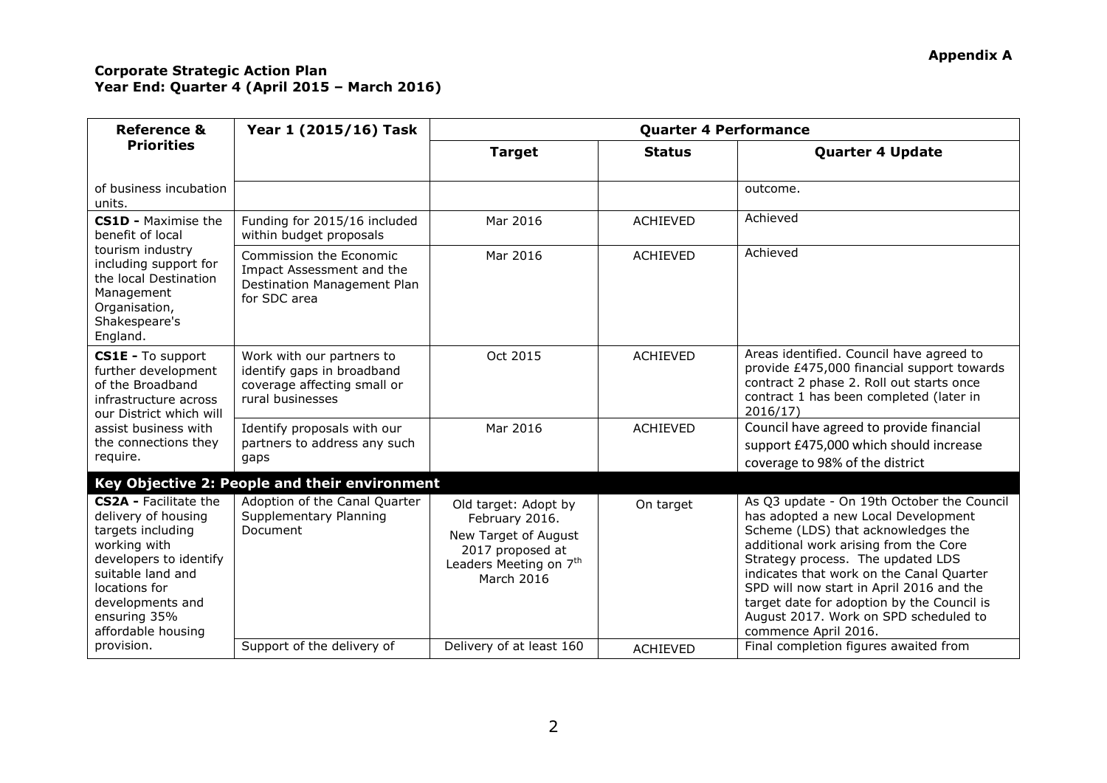| <b>Reference &amp;</b>                                                                                                                                                                                             | Year 1 (2015/16) Task                                                                                      | <b>Quarter 4 Performance</b>                                                                                                           |                 |                                                                                                                                                                                                                                                                                                                                                                                                              |  |
|--------------------------------------------------------------------------------------------------------------------------------------------------------------------------------------------------------------------|------------------------------------------------------------------------------------------------------------|----------------------------------------------------------------------------------------------------------------------------------------|-----------------|--------------------------------------------------------------------------------------------------------------------------------------------------------------------------------------------------------------------------------------------------------------------------------------------------------------------------------------------------------------------------------------------------------------|--|
| <b>Priorities</b>                                                                                                                                                                                                  |                                                                                                            | <b>Target</b>                                                                                                                          | <b>Status</b>   | <b>Quarter 4 Update</b>                                                                                                                                                                                                                                                                                                                                                                                      |  |
| of business incubation<br>units.                                                                                                                                                                                   |                                                                                                            |                                                                                                                                        |                 | outcome.                                                                                                                                                                                                                                                                                                                                                                                                     |  |
| <b>CS1D - Maximise the</b><br>benefit of local                                                                                                                                                                     | Funding for 2015/16 included<br>within budget proposals                                                    | Mar 2016                                                                                                                               | <b>ACHIEVED</b> | Achieved                                                                                                                                                                                                                                                                                                                                                                                                     |  |
| tourism industry<br>including support for<br>the local Destination<br>Management<br>Organisation,<br>Shakespeare's<br>England.                                                                                     | Commission the Economic<br>Impact Assessment and the<br>Destination Management Plan<br>for SDC area        | Mar 2016                                                                                                                               | <b>ACHIEVED</b> | Achieved                                                                                                                                                                                                                                                                                                                                                                                                     |  |
| CS1E - To support<br>further development<br>of the Broadband<br>infrastructure across<br>our District which will<br>assist business with<br>the connections they<br>require.                                       | Work with our partners to<br>identify gaps in broadband<br>coverage affecting small or<br>rural businesses | Oct 2015                                                                                                                               | <b>ACHIEVED</b> | Areas identified. Council have agreed to<br>provide £475,000 financial support towards<br>contract 2 phase 2. Roll out starts once<br>contract 1 has been completed (later in<br>2016/17                                                                                                                                                                                                                     |  |
|                                                                                                                                                                                                                    | Identify proposals with our<br>partners to address any such<br>gaps                                        | Mar 2016                                                                                                                               | <b>ACHIEVED</b> | Council have agreed to provide financial<br>support £475,000 which should increase<br>coverage to 98% of the district                                                                                                                                                                                                                                                                                        |  |
|                                                                                                                                                                                                                    | Key Objective 2: People and their environment                                                              |                                                                                                                                        |                 |                                                                                                                                                                                                                                                                                                                                                                                                              |  |
| <b>CS2A - Facilitate the</b><br>delivery of housing<br>targets including<br>working with<br>developers to identify<br>suitable land and<br>locations for<br>developments and<br>ensuring 35%<br>affordable housing | Adoption of the Canal Quarter<br>Supplementary Planning<br>Document                                        | Old target: Adopt by<br>February 2016.<br>New Target of August<br>2017 proposed at<br>Leaders Meeting on 7 <sup>th</sup><br>March 2016 | On target       | As Q3 update - On 19th October the Council<br>has adopted a new Local Development<br>Scheme (LDS) that acknowledges the<br>additional work arising from the Core<br>Strategy process. The updated LDS<br>indicates that work on the Canal Quarter<br>SPD will now start in April 2016 and the<br>target date for adoption by the Council is<br>August 2017. Work on SPD scheduled to<br>commence April 2016. |  |
| provision.                                                                                                                                                                                                         | Support of the delivery of                                                                                 | Delivery of at least 160                                                                                                               | <b>ACHIEVED</b> | Final completion figures awaited from                                                                                                                                                                                                                                                                                                                                                                        |  |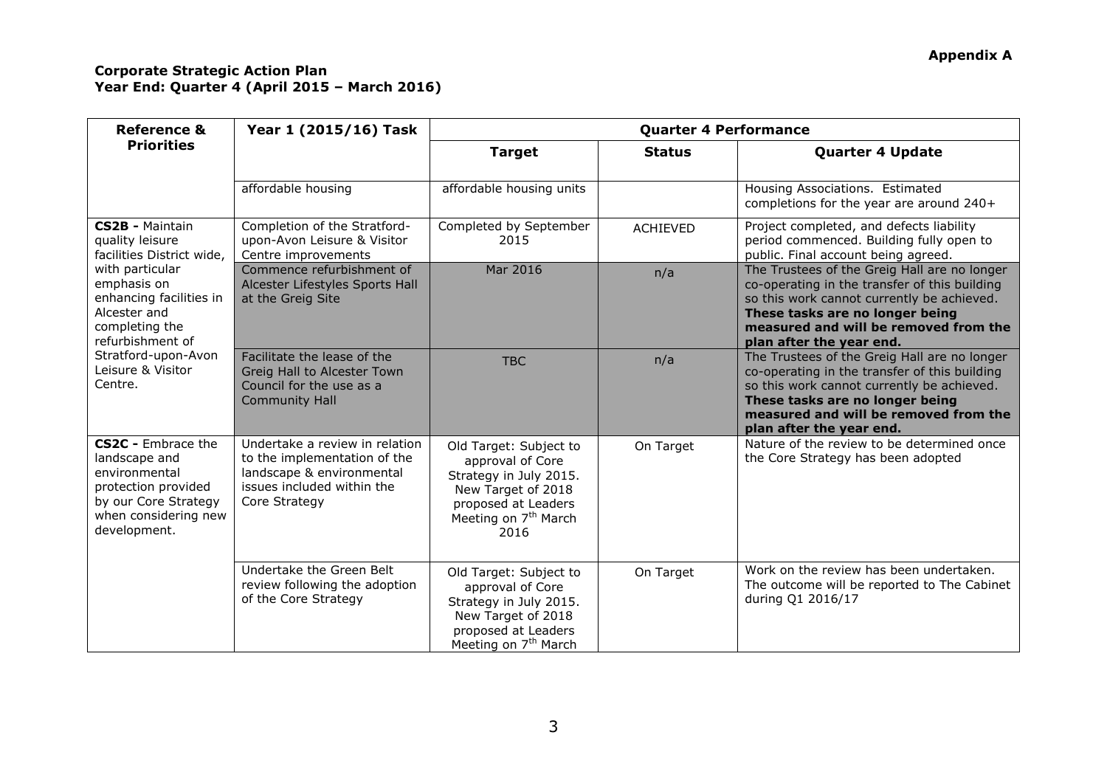| <b>Reference &amp;</b>                                                                                                                      | Year 1 (2015/16) Task                                                                                                                      | <b>Quarter 4 Performance</b>                                                                                                                                  |                 |                                                                                                                                                                                                                                                     |  |
|---------------------------------------------------------------------------------------------------------------------------------------------|--------------------------------------------------------------------------------------------------------------------------------------------|---------------------------------------------------------------------------------------------------------------------------------------------------------------|-----------------|-----------------------------------------------------------------------------------------------------------------------------------------------------------------------------------------------------------------------------------------------------|--|
| <b>Priorities</b>                                                                                                                           |                                                                                                                                            | <b>Target</b>                                                                                                                                                 | <b>Status</b>   | <b>Quarter 4 Update</b>                                                                                                                                                                                                                             |  |
|                                                                                                                                             | affordable housing                                                                                                                         | affordable housing units                                                                                                                                      |                 | Housing Associations. Estimated<br>completions for the year are around 240+                                                                                                                                                                         |  |
| CS2B - Maintain<br>quality leisure<br>facilities District wide,                                                                             | Completion of the Stratford-<br>upon-Avon Leisure & Visitor<br>Centre improvements                                                         | Completed by September<br>2015                                                                                                                                | <b>ACHIEVED</b> | Project completed, and defects liability<br>period commenced. Building fully open to<br>public. Final account being agreed.                                                                                                                         |  |
| with particular<br>emphasis on<br>enhancing facilities in<br>Alcester and<br>completing the<br>refurbishment of                             | Commence refurbishment of<br>Alcester Lifestyles Sports Hall<br>at the Greig Site                                                          | Mar 2016                                                                                                                                                      | n/a             | The Trustees of the Greig Hall are no longer<br>co-operating in the transfer of this building<br>so this work cannot currently be achieved.<br>These tasks are no longer being<br>measured and will be removed from the<br>plan after the year end. |  |
| Stratford-upon-Avon<br>Leisure & Visitor<br>Centre.                                                                                         | Facilitate the lease of the<br>Greig Hall to Alcester Town<br>Council for the use as a<br><b>Community Hall</b>                            | <b>TBC</b>                                                                                                                                                    | n/a             | The Trustees of the Greig Hall are no longer<br>co-operating in the transfer of this building<br>so this work cannot currently be achieved.<br>These tasks are no longer being<br>measured and will be removed from the<br>plan after the year end. |  |
| CS2C - Embrace the<br>landscape and<br>environmental<br>protection provided<br>by our Core Strategy<br>when considering new<br>development. | Undertake a review in relation<br>to the implementation of the<br>landscape & environmental<br>issues included within the<br>Core Strategy | Old Target: Subject to<br>approval of Core<br>Strategy in July 2015.<br>New Target of 2018<br>proposed at Leaders<br>Meeting on 7 <sup>th</sup> March<br>2016 | On Target       | Nature of the review to be determined once<br>the Core Strategy has been adopted                                                                                                                                                                    |  |
|                                                                                                                                             | Undertake the Green Belt<br>review following the adoption<br>of the Core Strategy                                                          | Old Target: Subject to<br>approval of Core<br>Strategy in July 2015.<br>New Target of 2018<br>proposed at Leaders<br>Meeting on 7 <sup>th</sup> March         | On Target       | Work on the review has been undertaken.<br>The outcome will be reported to The Cabinet<br>during Q1 2016/17                                                                                                                                         |  |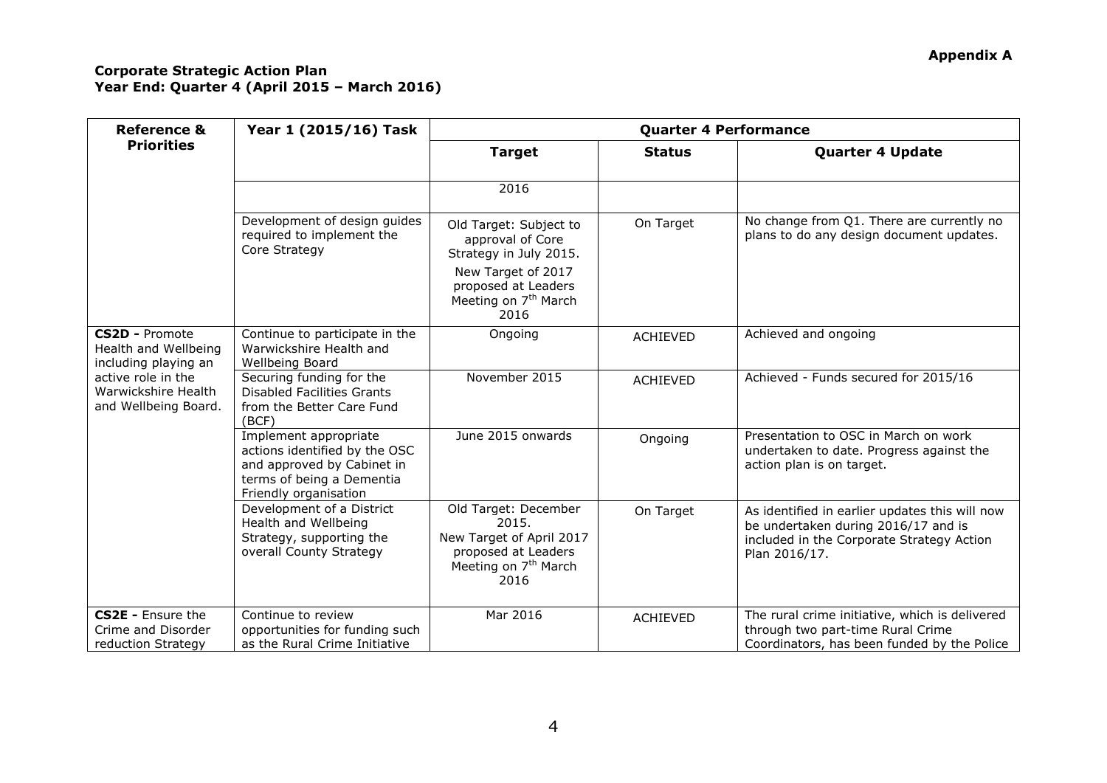| <b>Reference &amp;</b>                                                                                                                     | Year 1 (2015/16) Task                                                                                                                      | <b>Quarter 4 Performance</b>                                                                                                                                  |                 |                                                                                                                                                     |  |
|--------------------------------------------------------------------------------------------------------------------------------------------|--------------------------------------------------------------------------------------------------------------------------------------------|---------------------------------------------------------------------------------------------------------------------------------------------------------------|-----------------|-----------------------------------------------------------------------------------------------------------------------------------------------------|--|
| <b>Priorities</b>                                                                                                                          |                                                                                                                                            | <b>Target</b>                                                                                                                                                 | <b>Status</b>   | <b>Quarter 4 Update</b>                                                                                                                             |  |
|                                                                                                                                            |                                                                                                                                            | 2016                                                                                                                                                          |                 |                                                                                                                                                     |  |
|                                                                                                                                            | Development of design guides<br>required to implement the<br>Core Strategy                                                                 | Old Target: Subject to<br>approval of Core<br>Strategy in July 2015.<br>New Target of 2017<br>proposed at Leaders<br>Meeting on 7 <sup>th</sup> March<br>2016 | On Target       | No change from Q1. There are currently no<br>plans to do any design document updates.                                                               |  |
| <b>CS2D - Promote</b><br>Health and Wellbeing<br>including playing an<br>active role in the<br>Warwickshire Health<br>and Wellbeing Board. | Continue to participate in the<br>Warwickshire Health and<br>Wellbeing Board                                                               | Ongoing                                                                                                                                                       | <b>ACHIEVED</b> | Achieved and ongoing                                                                                                                                |  |
|                                                                                                                                            | Securing funding for the<br><b>Disabled Facilities Grants</b><br>from the Better Care Fund<br>(BCF)                                        | November 2015                                                                                                                                                 | <b>ACHIEVED</b> | Achieved - Funds secured for 2015/16                                                                                                                |  |
|                                                                                                                                            | Implement appropriate<br>actions identified by the OSC<br>and approved by Cabinet in<br>terms of being a Dementia<br>Friendly organisation | June 2015 onwards                                                                                                                                             | Ongoing         | Presentation to OSC in March on work<br>undertaken to date. Progress against the<br>action plan is on target.                                       |  |
|                                                                                                                                            | Development of a District<br>Health and Wellbeing<br>Strategy, supporting the<br>overall County Strategy                                   | Old Target: December<br>2015.<br>New Target of April 2017<br>proposed at Leaders<br>Meeting on 7 <sup>th</sup> March<br>2016                                  | On Target       | As identified in earlier updates this will now<br>be undertaken during 2016/17 and is<br>included in the Corporate Strategy Action<br>Plan 2016/17. |  |
| <b>CS2E - Ensure the</b><br>Crime and Disorder<br>reduction Strategy                                                                       | Continue to review<br>opportunities for funding such<br>as the Rural Crime Initiative                                                      | Mar 2016                                                                                                                                                      | <b>ACHIEVED</b> | The rural crime initiative, which is delivered<br>through two part-time Rural Crime<br>Coordinators, has been funded by the Police                  |  |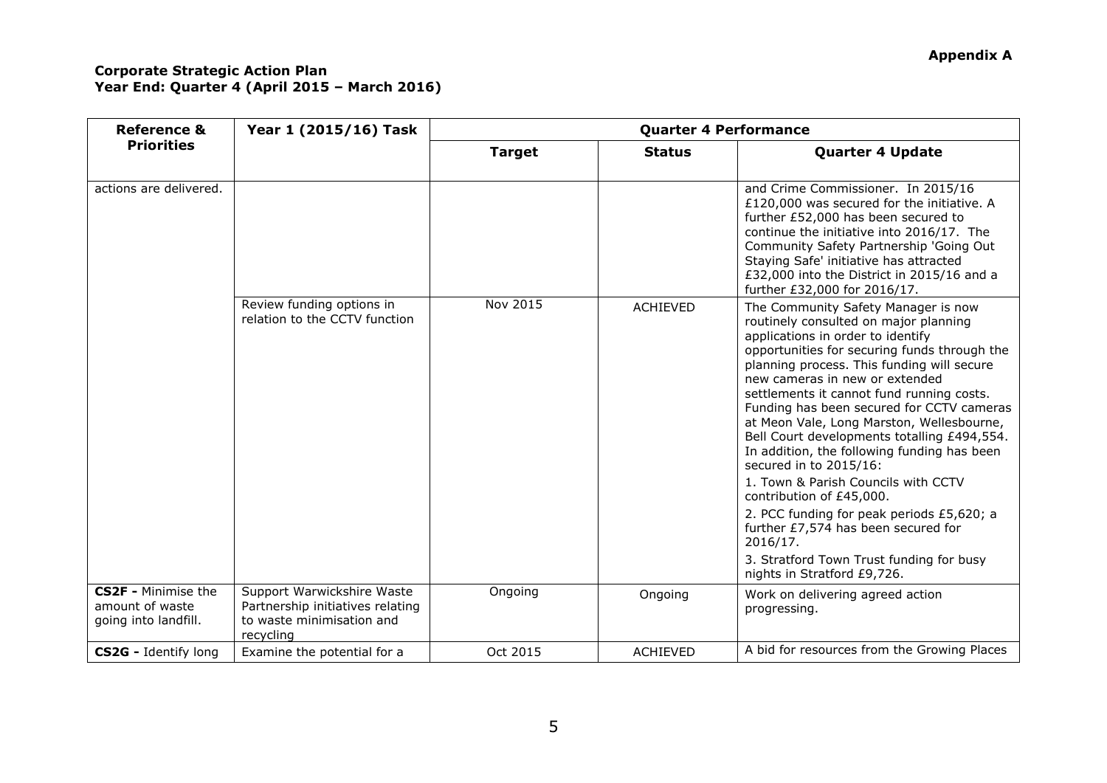| <b>Reference &amp;</b><br><b>Priorities</b>                           | Year 1 (2015/16) Task                                                                                    | <b>Quarter 4 Performance</b> |                 |                                                                                                                                                                                                                                                                                                                                                                                                                                                                                                                                                                                                                                                                                                                                                                |  |
|-----------------------------------------------------------------------|----------------------------------------------------------------------------------------------------------|------------------------------|-----------------|----------------------------------------------------------------------------------------------------------------------------------------------------------------------------------------------------------------------------------------------------------------------------------------------------------------------------------------------------------------------------------------------------------------------------------------------------------------------------------------------------------------------------------------------------------------------------------------------------------------------------------------------------------------------------------------------------------------------------------------------------------------|--|
|                                                                       |                                                                                                          | <b>Target</b>                | <b>Status</b>   | <b>Quarter 4 Update</b>                                                                                                                                                                                                                                                                                                                                                                                                                                                                                                                                                                                                                                                                                                                                        |  |
| actions are delivered.                                                |                                                                                                          |                              |                 | and Crime Commissioner. In 2015/16<br>£120,000 was secured for the initiative. A<br>further £52,000 has been secured to<br>continue the initiative into 2016/17. The<br>Community Safety Partnership 'Going Out<br>Staying Safe' initiative has attracted<br>£32,000 into the District in 2015/16 and a<br>further £32,000 for 2016/17.                                                                                                                                                                                                                                                                                                                                                                                                                        |  |
|                                                                       | Review funding options in<br>relation to the CCTV function                                               | Nov 2015                     | <b>ACHIEVED</b> | The Community Safety Manager is now<br>routinely consulted on major planning<br>applications in order to identify<br>opportunities for securing funds through the<br>planning process. This funding will secure<br>new cameras in new or extended<br>settlements it cannot fund running costs.<br>Funding has been secured for CCTV cameras<br>at Meon Vale, Long Marston, Wellesbourne,<br>Bell Court developments totalling £494,554.<br>In addition, the following funding has been<br>secured in to 2015/16:<br>1. Town & Parish Councils with CCTV<br>contribution of £45,000.<br>2. PCC funding for peak periods £5,620; a<br>further £7,574 has been secured for<br>2016/17.<br>3. Stratford Town Trust funding for busy<br>nights in Stratford £9,726. |  |
| <b>CS2F - Minimise the</b><br>amount of waste<br>going into landfill. | Support Warwickshire Waste<br>Partnership initiatives relating<br>to waste minimisation and<br>recycling | Ongoing                      | Ongoing         | Work on delivering agreed action<br>progressing.                                                                                                                                                                                                                                                                                                                                                                                                                                                                                                                                                                                                                                                                                                               |  |
| <b>CS2G</b> - Identify long                                           | Examine the potential for a                                                                              | Oct 2015                     | <b>ACHIEVED</b> | A bid for resources from the Growing Places                                                                                                                                                                                                                                                                                                                                                                                                                                                                                                                                                                                                                                                                                                                    |  |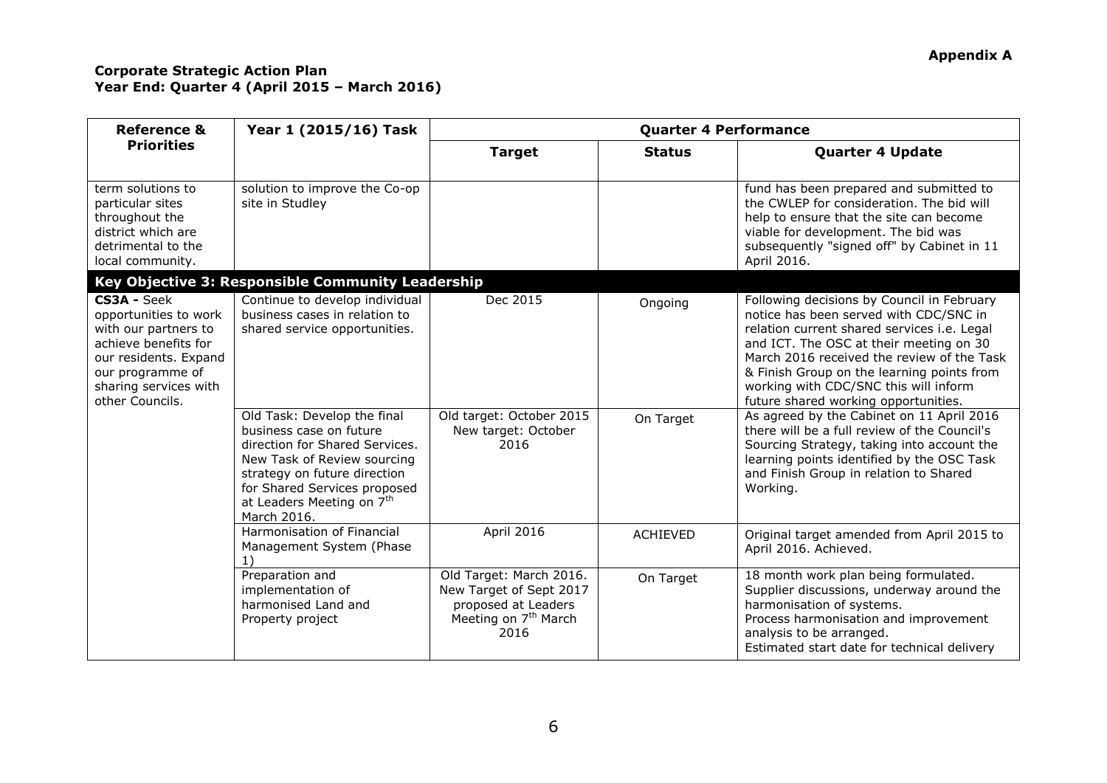| <b>Reference &amp;</b>                                                                                                                                                        | Year 1 (2015/16) Task                                                                                                                                                                                                                           | <b>Quarter 4 Performance</b>                                                                                          |                 |                                                                                                                                                                                                                                                                                                                                                             |  |
|-------------------------------------------------------------------------------------------------------------------------------------------------------------------------------|-------------------------------------------------------------------------------------------------------------------------------------------------------------------------------------------------------------------------------------------------|-----------------------------------------------------------------------------------------------------------------------|-----------------|-------------------------------------------------------------------------------------------------------------------------------------------------------------------------------------------------------------------------------------------------------------------------------------------------------------------------------------------------------------|--|
| <b>Priorities</b>                                                                                                                                                             |                                                                                                                                                                                                                                                 | <b>Target</b>                                                                                                         | <b>Status</b>   | <b>Quarter 4 Update</b>                                                                                                                                                                                                                                                                                                                                     |  |
| term solutions to<br>particular sites<br>throughout the<br>district which are<br>detrimental to the<br>local community.                                                       | solution to improve the Co-op<br>site in Studley                                                                                                                                                                                                |                                                                                                                       |                 | fund has been prepared and submitted to<br>the CWLEP for consideration. The bid will<br>help to ensure that the site can become<br>viable for development. The bid was<br>subsequently "signed off" by Cabinet in 11<br>April 2016.                                                                                                                         |  |
|                                                                                                                                                                               | Key Objective 3: Responsible Community Leadership                                                                                                                                                                                               |                                                                                                                       |                 |                                                                                                                                                                                                                                                                                                                                                             |  |
| CS3A - Seek<br>opportunities to work<br>with our partners to<br>achieve benefits for<br>our residents. Expand<br>our programme of<br>sharing services with<br>other Councils. | Continue to develop individual<br>business cases in relation to<br>shared service opportunities.                                                                                                                                                | Dec 2015                                                                                                              | Ongoing         | Following decisions by Council in February<br>notice has been served with CDC/SNC in<br>relation current shared services i.e. Legal<br>and ICT. The OSC at their meeting on 30<br>March 2016 received the review of the Task<br>& Finish Group on the learning points from<br>working with CDC/SNC this will inform<br>future shared working opportunities. |  |
|                                                                                                                                                                               | Old Task: Develop the final<br>business case on future<br>direction for Shared Services.<br>New Task of Review sourcing<br>strategy on future direction<br>for Shared Services proposed<br>at Leaders Meeting on 7 <sup>th</sup><br>March 2016. | Old target: October 2015<br>New target: October<br>2016                                                               | On Target       | As agreed by the Cabinet on 11 April 2016<br>there will be a full review of the Council's<br>Sourcing Strategy, taking into account the<br>learning points identified by the OSC Task<br>and Finish Group in relation to Shared<br>Working.                                                                                                                 |  |
|                                                                                                                                                                               | Harmonisation of Financial<br>Management System (Phase                                                                                                                                                                                          | April 2016                                                                                                            | <b>ACHIEVED</b> | Original target amended from April 2015 to<br>April 2016. Achieved.                                                                                                                                                                                                                                                                                         |  |
|                                                                                                                                                                               | Preparation and<br>implementation of<br>harmonised Land and<br>Property project                                                                                                                                                                 | Old Target: March 2016.<br>New Target of Sept 2017<br>proposed at Leaders<br>Meeting on 7 <sup>th</sup> March<br>2016 | On Target       | 18 month work plan being formulated.<br>Supplier discussions, underway around the<br>harmonisation of systems.<br>Process harmonisation and improvement<br>analysis to be arranged.<br>Estimated start date for technical delivery                                                                                                                          |  |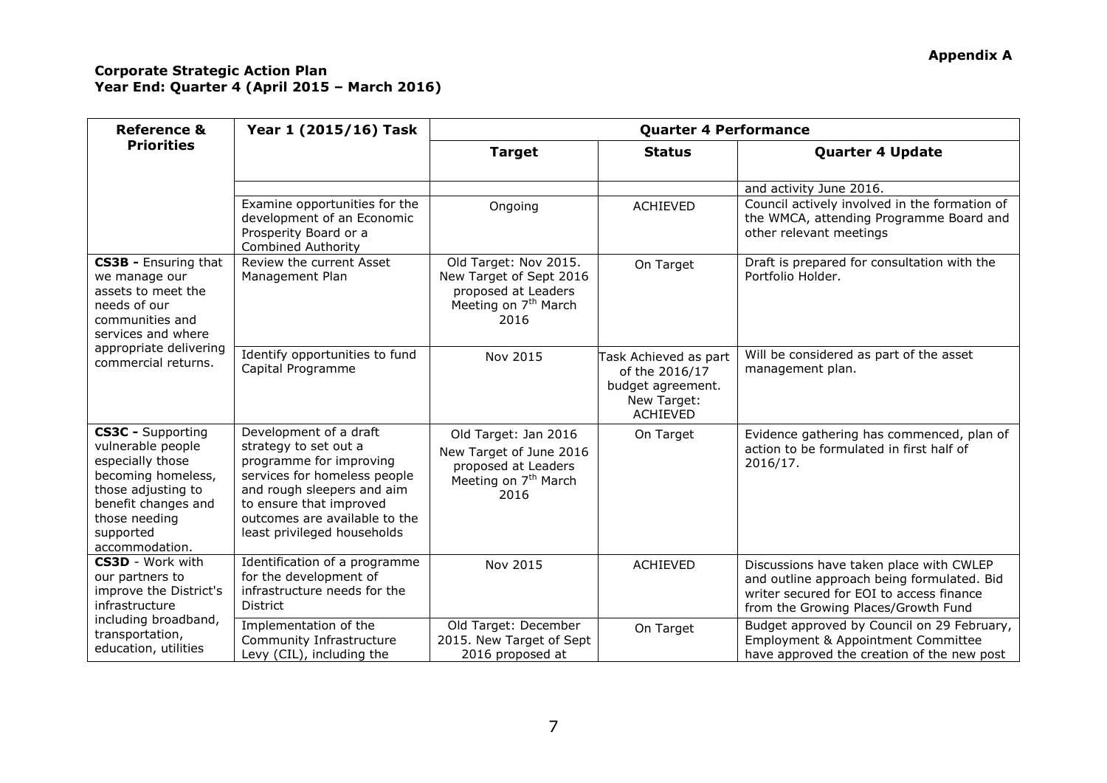| <b>Reference &amp;</b>                                                                                                                                                               | Year 1 (2015/16) Task                                                                                                                                                                                                               | <b>Quarter 4 Performance</b>                                                                                        |                                                                                                |                                                                                                                                                                          |  |
|--------------------------------------------------------------------------------------------------------------------------------------------------------------------------------------|-------------------------------------------------------------------------------------------------------------------------------------------------------------------------------------------------------------------------------------|---------------------------------------------------------------------------------------------------------------------|------------------------------------------------------------------------------------------------|--------------------------------------------------------------------------------------------------------------------------------------------------------------------------|--|
| <b>Priorities</b>                                                                                                                                                                    |                                                                                                                                                                                                                                     | <b>Target</b>                                                                                                       | <b>Status</b>                                                                                  | <b>Quarter 4 Update</b>                                                                                                                                                  |  |
|                                                                                                                                                                                      |                                                                                                                                                                                                                                     |                                                                                                                     |                                                                                                |                                                                                                                                                                          |  |
|                                                                                                                                                                                      |                                                                                                                                                                                                                                     |                                                                                                                     |                                                                                                | and activity June 2016.                                                                                                                                                  |  |
|                                                                                                                                                                                      | Examine opportunities for the<br>development of an Economic<br>Prosperity Board or a<br><b>Combined Authority</b>                                                                                                                   | Ongoing                                                                                                             | <b>ACHIEVED</b>                                                                                | Council actively involved in the formation of<br>the WMCA, attending Programme Board and<br>other relevant meetings                                                      |  |
| CS3B - Ensuring that<br>we manage our<br>assets to meet the<br>needs of our<br>communities and<br>services and where<br>appropriate delivering<br>commercial returns.                | Review the current Asset<br>Management Plan                                                                                                                                                                                         | Old Target: Nov 2015.<br>New Target of Sept 2016<br>proposed at Leaders<br>Meeting on 7 <sup>th</sup> March<br>2016 | On Target                                                                                      | Draft is prepared for consultation with the<br>Portfolio Holder.                                                                                                         |  |
|                                                                                                                                                                                      | Identify opportunities to fund<br>Capital Programme                                                                                                                                                                                 | Nov 2015                                                                                                            | Task Achieved as part<br>of the 2016/17<br>budget agreement.<br>New Target:<br><b>ACHIEVED</b> | Will be considered as part of the asset<br>management plan.                                                                                                              |  |
| <b>CS3C - Supporting</b><br>vulnerable people<br>especially those<br>becoming homeless,<br>those adjusting to<br>benefit changes and<br>those needing<br>supported<br>accommodation. | Development of a draft<br>strategy to set out a<br>programme for improving<br>services for homeless people<br>and rough sleepers and aim<br>to ensure that improved<br>outcomes are available to the<br>least privileged households | Old Target: Jan 2016<br>New Target of June 2016<br>proposed at Leaders<br>Meeting on 7 <sup>th</sup> March<br>2016  | On Target                                                                                      | Evidence gathering has commenced, plan of<br>action to be formulated in first half of<br>2016/17.                                                                        |  |
| <b>CS3D</b> - Work with<br>our partners to<br>improve the District's<br>infrastructure<br>including broadband,<br>transportation,<br>education, utilities                            | Identification of a programme<br>for the development of<br>infrastructure needs for the<br><b>District</b>                                                                                                                          | Nov 2015                                                                                                            | <b>ACHIEVED</b>                                                                                | Discussions have taken place with CWLEP<br>and outline approach being formulated. Bid<br>writer secured for EOI to access finance<br>from the Growing Places/Growth Fund |  |
|                                                                                                                                                                                      | Implementation of the<br>Community Infrastructure<br>Levy (CIL), including the                                                                                                                                                      | Old Target: December<br>2015. New Target of Sept<br>2016 proposed at                                                | On Target                                                                                      | Budget approved by Council on 29 February,<br>Employment & Appointment Committee<br>have approved the creation of the new post                                           |  |